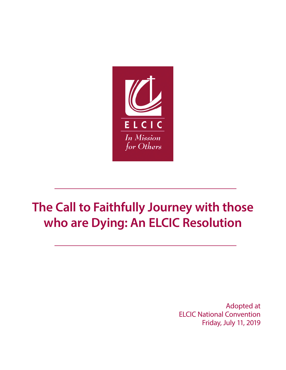

# **The Call to Faithfully Journey with those who are Dying: An ELCIC Resolution**

Adopted at ELCIC National Convention Friday, July 11, 2019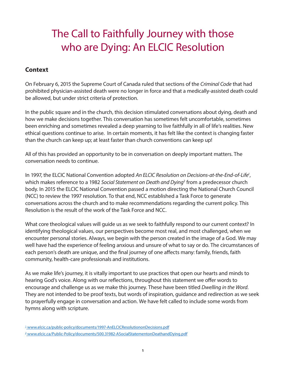# The Call to Faithfully Journey with those who are Dying: An ELCIC Resolution

# **Context**

On February 6, 2015 the Supreme Court of Canada ruled that sections of the *Criminal Code* that had prohibited physician-assisted death were no longer in force and that a medically-assisted death could be allowed, but under strict criteria of protection.

In the public square and in the church, this decision stimulated conversations about dying, death and how we make decisions together. This conversation has sometimes felt uncomfortable, sometimes been enriching and sometimes revealed a deep yearning to live faithfully in all of life's realities. New ethical questions continue to arise. In certain moments, it has felt like the context is changing faster than the church can keep up; at least faster than church conventions can keep up!

All of this has provided an opportunity to be in conversation on deeply important matters. The conversation needs to continue.

In 1997, the ELCIC National Convention adopted An ELCIC Resolution on Decisions-at-the-End-of-Life<sup>1</sup>, which makes reference to a 1982 *Social Statement on Death and Dying*<sup>2</sup> from a predecessor church body. In 2015 the ELCIC National Convention passed a motion directing the National Church Council (NCC) to review the 1997 resolution. To that end, NCC established a Task Force to generate conversations across the church and to make recommendations regarding the current policy. This Resolution is the result of the work of the Task Force and NCC.

What core theological values will guide us as we seek to faithfully respond to our current context? In identifying theological values, our perspectives become most real, and most challenged, when we encounter personal stories. Always, we begin with the person created in the image of a God. We may well have had the experience of feeling anxious and unsure of what to say or do. The circumstances of each person's death are unique, and the final journey of one affects many: family, friends, faith community, health-care professionals and institutions.

As we make life's journey, it is vitally important to use practices that open our hearts and minds to hearing God's voice. Along with our reflections, throughout this statement we offer words to encourage and challenge us as we make this journey. These have been titled *Dwelling in the Word*. They are not intended to be proof texts, but words of inspiration, guidance and redirection as we seek to prayerfully engage in conversation and action. We have felt called to include some words from hymns along with scripture.

<sup>1</sup> [www.elcic.ca/public-policy/documents/1997-AnELCICResolutiononDecisions.pdf](http://www.elcic.ca/public-policy/documents/1997-AnELCICResolutiononDecisions.pdf)

<sup>2</sup> [www.elcic.ca/Public-Policy/documents/500.31982-ASocialStatementonDeathandDying.pdf](http://www.elcic.ca/Public-Policy/documents/500.31982-ASocialStatementonDeathandDying.pdf)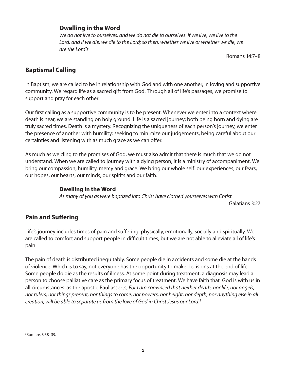#### **Dwelling in the Word**

*We do not live to ourselves, and we do not die to ourselves. If we live, we live to the Lord, and if we die, we die to the Lord; so then, whether we live or whether we die, we are the Lord's.*

Romans 14:7–8

# **Baptismal Calling**

In Baptism, we are called to be in relationship with God and with one another, in loving and supportive community. We regard life as a sacred gift from God. Through all of life's passages, we promise to support and pray for each other.

Our first calling as a supportive community is to be present. Whenever we enter into a context where death is near, we are standing on holy ground. Life is a sacred journey; both being born and dying are truly sacred times. Death is a mystery. Recognizing the uniqueness of each person's journey, we enter the presence of another with humility: seeking to minimize our judgements, being careful about our certainties and listening with as much grace as we can offer.

As much as we cling to the promises of God, we must also admit that there is much that we do not understand. When we are called to journey with a dying person, it is a ministry of accompaniment. We bring our compassion, humility, mercy and grace. We bring our whole self: our experiences, our fears, our hopes, our hearts, our minds, our spirits and our faith.

#### **Dwelling in the Word**

*As many of you as were baptized into Christ have clothed yourselves with Christ.* 

Galatians 3:27

# **Pain and Suffering**

Life's journey includes times of pain and suffering: physically, emotionally, socially and spiritually. We are called to comfort and support people in difficult times, but we are not able to alleviate all of life's pain.

The pain of death is distributed inequitably. Some people die in accidents and some die at the hands of violence. Which is to say, not everyone has the opportunity to make decisions at the end of life. Some people do die as the results of illness. At some point during treatment, a diagnosis may lead a person to choose palliative care as the primary focus of treatment. We have faith that God is with us in all circumstances: as the apostle Paul asserts, *For I am convinced that neither death, nor life, nor angels, nor rulers, nor things present, nor things to come, nor powers, nor height, nor depth, nor anything else in all creation, will be able to separate us from the love of God in Christ Jesus our Lord*. 3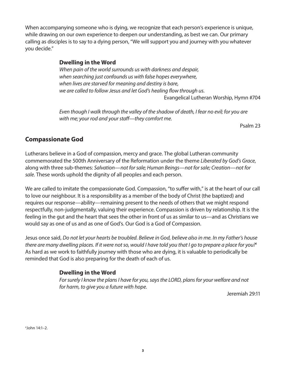When accompanying someone who is dying, we recognize that each person's experience is unique, while drawing on our own experience to deepen our understanding, as best we can. Our primary calling as disciples is to say to a dying person, "We will support you and journey with you whatever you decide."

#### **Dwelling in the Word**

*When pain of the world surrounds us with darkness and despair, when searching just confounds us with false hopes everywhere, when lives are starved for meaning and destiny is bare, we are called to follow Jesus and let God's healing flow through us.*  Evangelical Lutheran Worship, Hymn #704

*Even though I walk through the valley of the shadow of death, I fear no evil; for you are with me; your rod and your staff—they comfort me.*

Psalm 23

# **Compassionate God**

Lutherans believe in a God of compassion, mercy and grace. The global Lutheran community commemorated the 500th Anniversary of the Reformation under the theme *Liberated by God's Grace*, along with three sub-themes: *Salvation—not for sale; Human Beings—not for sale; Creation—not for sale.* These words uphold the dignity of all peoples and each person.

We are called to imitate the compassionate God. Compassion, "to suffer with," is at the heart of our call to love our neighbour. It is a responsibility as a member of the body of Christ (the baptized) and requires our response—ability—remaining present to the needs of others that we might respond respectfully, non-judgmentally, valuing their experience. Compassion is driven by relationship. It is the feeling in the gut and the heart that sees the other in front of us as similar to us—and as Christians we would say as one of us and as one of God's. Our God is a God of Compassion.

Jesus once said, *Do not let your hearts be troubled. Believe in God, believe also in me. In my Father's house there are many dwelling places. If it were not so, would I have told you that I go to prepare a place for you?*<sup>4</sup> As hard as we work to faithfully journey with those who are dying, it is valuable to periodically be reminded that God is also preparing for the death of each of us.

# **Dwelling in the Word**

*For surely I know the plans I have for you, says the LORD, plans for your welfare and not for harm, to give you a future with hope.*

Jeremiah 29:11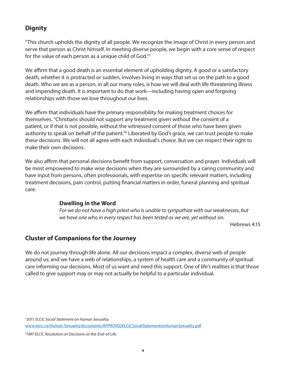# **Dignity**

"This church upholds the dignity of all people. We recognize the image of Christ in every person and serve that person as Christ himself. In meeting diverse people, we begin with a core sense of respect for the value of each person as a unique child of God."5

We affirm that a good death is an essential element of upholding dignity. A good or a satisfactory death, whether it is protracted or sudden, involves living in ways that set us on the path to a good death. Who we are as a person, in all our many roles, is how we will deal with life threatening illness and impending death. It is important to do that work—including having open and forgiving relationships with those we love throughout our lives.

We affirm that individuals have the primary responsibility for making treatment choices for themselves. "Christians should not support any treatment given without the consent of a patient, or if that is not possible, without the witnessed consent of those who have been given authority to speak on behalf of the patient."<sup>6</sup> Liberated by God's grace, we can trust people to make these decisions. We will not all agree with each individual's choice. But we can respect their right to make their own decisions.

We also affirm that personal decisions benefit from support, conversation and prayer. Individuals will be most empowered to make wise decisions when they are surrounded by a caring community and have input from persons, often professionals, with expertise on specific relevant matters, including treatment decisions, pain control, putting financial matters in order, funeral planning and spiritual care.

#### **Dwelling in the Word**

*For we do not have a high priest who is unable to sympathize with our weaknesses, but we have one who in every respect has been tested as we are, yet without sin.* 

Hebrews 4:15

# **Cluster of Companions for the Journey**

We do not journey through life alone. All our decisions impact a complex, diverse web of people around us; and we have a web of relationships, a system of health care and a community of spiritual care informing our decisions. Most of us want and need this support. One of life's realities is that those called to give support may or may not actually be helpful to a particular individual.

5 2011 *ELCIC Social Statement on Human Sexuality*.

[www.elcic.ca/Human-Sexuality/documents/APPROVEDELCICSocialStatementonHumanSexuality.pdf](http://www.elcic.ca/Human-Sexuality/documents/APPROVEDELCICSocialStatementonHumanSexuality.pdf)

6 *1997 ELCIC Resolution on Decisions-at-the-End-of-Life*.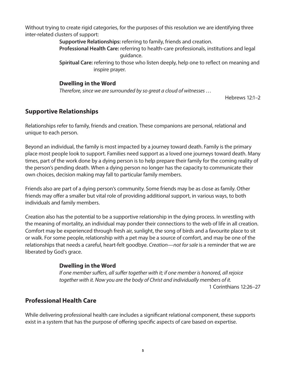Without trying to create rigid categories, for the purposes of this resolution we are identifying three inter-related clusters of support:

> **Supportive Relationships:** referring to family, friends and creation. **Professional Health Care:** referring to health-care professionals, institutions and legal guidance.

**Spiritual Care:** referring to those who listen deeply, help one to reflect on meaning and inspire prayer.

#### **Dwelling in the Word**

*Therefore, since we are surrounded by so great a cloud of witnesses …* 

Hebrews 12:1–2

# **Supportive Relationships**

Relationships refer to family, friends and creation. These companions are personal, relational and unique to each person.

Beyond an individual, the family is most impacted by a journey toward death. Family is the primary place most people look to support. Families need support as a loved one journeys toward death. Many times, part of the work done by a dying person is to help prepare their family for the coming reality of the person's pending death. When a dying person no longer has the capacity to communicate their own choices, decision making may fall to particular family members.

Friends also are part of a dying person's community. Some friends may be as close as family. Other friends may offer a smaller but vital role of providing additional support, in various ways, to both individuals and family members.

Creation also has the potential to be a supportive relationship in the dying process. In wrestling with the meaning of mortality, an individual may ponder their connections to the web of life in all creation. Comfort may be experienced through fresh air, sunlight, the song of birds and a favourite place to sit or walk. For some people, relationship with a pet may be a source of comfort, and may be one of the relationships that needs a careful, heart-felt goodbye. *Creation—not for sale* is a reminder that we are liberated by God's grace.

# **Dwelling in the Word**

*If one member suffers, all suffer together with it; if one member is honored, all rejoice together with it. Now you are the body of Christ and individually members of it.*

1 Corinthians 12:26–27

# **Professional Health Care**

While delivering professional health care includes a significant relational component, these supports exist in a system that has the purpose of offering specific aspects of care based on expertise.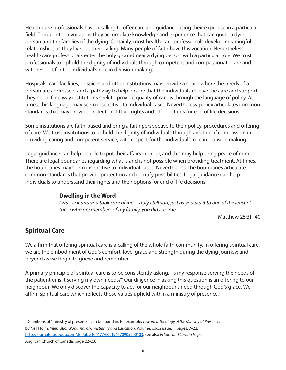Health-care professionals have a calling to offer care and guidance using their expertise in a particular field. Through their vocation, they accumulate knowledge and experience that can guide a dying person and the families of the dying. Certainly, most health-care professionals develop meaningful relationships as they live out their calling. Many people of faith have this vocation. Nevertheless, health-care professionals enter the holy ground near a dying person with a particular role. We trust professionals to uphold the dignity of individuals through competent and compassionate care and with respect for the individual's role in decision making.

Hospitals, care facilities, hospices and other institutions may provide a space where the needs of a person are addressed, and a pathway to help ensure that the individuals receive the care and support they need. One way institutions seek to provide quality of care is through the language of policy. At times, this language may seem insensitive to individual cases. Nevertheless, policy articulates common standards that may provide protection, lift up rights and offer options for end of life decisions.

Some institutions are faith-based and bring a faith perspective to their policy, procedures and offering of care. We trust institutions to uphold the dignity of individuals through an ethic of compassion in providing caring and competent service, with respect for the individual's role in decision making.

Legal guidance can help people to put their affairs in order, and this may help bring peace of mind. There are legal boundaries regarding what is and is not possible when providing treatment. At times, the boundaries may seem insensitive to individual cases. Nevertheless, the boundaries articulate common standards that provide protection and identify possibilities. Legal guidance can help individuals to understand their rights and their options for end of life decisions.

#### **Dwelling in the Word**

*I was sick and you took care of me…Truly I tell you, just as you did it to one of the least of these who are members of my family, you did it to me.*

Matthew 25:31–40

# **Spiritual Care**

We affirm that offering spiritual care is a calling of the whole faith community. In offering spiritual care, we are the embodiment of God's comfort, love, grace and strength during the dying journey; and beyond as we begin to grieve and remember.

A primary principle of spiritual care is to be consistently asking, "is my response serving the needs of the patient or is it serving my own needs?" Our diligence in asking this question is an offering to our neighbour. We only discover the capacity to act for our neighbour's need through God's grace. We affirm spiritual care which reflects those values upheld within a ministry of presence.<sup>7</sup>

7 Definitions of "ministry of presence" can be found in, for example, *Toward a Theology of the Ministry of Presence*, by Neil Holm, *International Journal of Christianity and Education*, Volume: os-52 issue: 1, pages: 7–22. <http://journals.sagepub.com/doi/abs/10.1177/002196570905200103>. See also *In Sure and Certain Hope*, Anglican Church of Canada, page 22–23.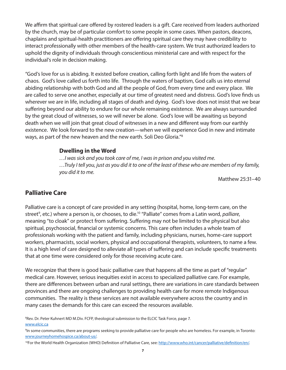We affirm that spiritual care offered by rostered leaders is a gift. Care received from leaders authorized by the church, may be of particular comfort to some people in some cases. When pastors, deacons, chaplains and spiritual-health practitioners are offering spiritual care they may have credibility to interact professionally with other members of the health-care system. We trust authorized leaders to uphold the dignity of individuals through conscientious ministerial care and with respect for the individual's role in decision making.

"God's love for us is abiding. It existed before creation, calling forth light and life from the waters of chaos. God's love called us forth into life. Through the waters of baptism, God calls us into eternal abiding relationship with both God and all the people of God, from every time and every place. We are called to serve one another, especially at our time of greatest need and distress. God's love finds us wherever we are in life, including all stages of death and dying. God's love does not insist that we bear suffering beyond our ability to endure for our whole remaining existence. We are always surrounded by the great cloud of witnesses, so we will never be alone. God's love will be awaiting us beyond death when we will join that great cloud of witnesses in a new and different way from our earthly existence. We look forward to the new creation—when we will experience God in new and intimate ways, as part of the new heaven and the new earth. Soli Deo Gloria."8

#### **Dwelling in the Word**

*…I was sick and you took care of me, I was in prison and you visited me. …Truly I tell you, just as you did it to one of the least of these who are members of my family, you did it to me.*

Matthew 25:31–40

#### **Palliative Care**

Palliative care is a concept of care provided in any setting (hospital, home, long-term care, on the street<sup>9</sup>, etc.) where a person is, or chooses, to die.<sup>10</sup> "Palliate" comes from a Latin word, *palliare*, meaning "to cloak" or protect from suffering. Suffering may not be limited to the physical but also spiritual, psychosocial, financial or systemic concerns. This care often includes a whole team of professionals working with the patient and family, including physicians, nurses, home-care support workers, pharmacists, social workers, physical and occupational therapists, volunteers, to name a few. It is a high level of care designed to alleviate all types of suffering and can include specific treatments that at one time were considered only for those receiving acute care.

We recognize that there is good basic palliative care that happens all the time as part of "regular" medical care. However, serious inequities exist in access to specialized palliative care. For example, there are differences between urban and rural settings, there are variations in care standards between provinces and there are ongoing challenges to providing health care for more remote Indigenous communities. The reality is these services are not available everywhere across the country and in many cases the demands for this care can exceed the resources available.

8 Rev. Dr. Peter Kuhnert MD M.Div. FCFP, theological submission to the ELCIC Task Force, page 7. [www.elcic.ca](http://www.elcic.ca)

<sup>9</sup> In some communities, there are programs seeking to provide palliative care for people who are homeless. For example, in Toronto: [www.journeyhomehospice.ca/about-us/](http://www.journeyhomehospice.ca/about-us/).

<sup>&</sup>lt;sup>10</sup>For the World Health Organization (WHO) Definition of Palliative Care, see: <http://www.who.int/cancer/palliative/definition/en/>.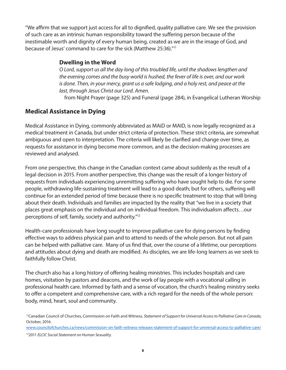"We affirm that we support just access for all to dignified, quality palliative care. We see the provision of such care as an intrinsic human responsibility toward the suffering person because of the inestimable worth and dignity of every human being, created as we are in the image of God, and because of Jesus' command to care for the sick (Matthew 25:36)."11

#### **Dwelling in the Word**

*O Lord, support us all the day long of this troubled life, until the shadows lengthen and the evening comes and the busy world is hushed, the fever of life is over, and our work is done. Then, in your mercy, grant us a safe lodging, and a holy rest, and peace at the last, through Jesus Christ our Lord. Amen.*

from Night Prayer (page 325) and Funeral (page 284), in Evangelical Lutheran Worship

# **Medical Assistance in Dying**

Medical Assistance in Dying, commonly abbreviated as MAiD or MAID, is now legally recognized as a medical treatment in Canada, but under strict criteria of protection. These strict criteria, are somewhat ambiguous and open to interpretation. The criteria will likely be clarified and change over time, as requests for assistance in dying become more common, and as the decision-making processes are reviewed and analysed.

From one perspective, this change in the Canadian context came about suddenly as the result of a legal decision in 2015. From another perspective, this change was the result of a longer history of requests from individuals experiencing unremitting suffering who have sought help to die. For some people, withdrawing life-sustaining treatment will lead to a good death; but for others, suffering will continue for an extended period of time because there is no specific treatment to stop that will bring about their death. Individuals and families are impacted by the reality that "we live in a society that places great emphasis on the individual and on individual freedom. This individualism affects…our perceptions of self, family, society and authority."12

Health-care professionals have long sought to improve palliative care for dying persons by finding effective ways to address physical pain and to attend to needs of the whole person. But not all pain can be helped with palliative care. Many of us find that, over the course of a lifetime, our perceptions and attitudes about dying and death are modified. As disciples, we are life-long learners as we seek to faithfully follow Christ.

The church also has a long history of offering healing ministries. This includes hospitals and care homes, visitation by pastors and deacons, and the work of lay people with a vocational calling in professional health care. Informed by faith and a sense of vocation, the church's healing ministry seeks to offer a competent and comprehensive care, with a rich regard for the needs of the whole person: body, mind, heart, soul and community.

[www.councilofchurches.ca/news/commission-on-faith-witness-releases-statement-of-support-for-universal-access-to-palliative-care/](http://www.councilofchurches.ca/news/commission-on-faith-witness-releases-statement-of-support-for-universal-access-to-palliative-care/)

<sup>11</sup>Canadian Council of Churches, Commission on Faith and Witness, *Statement of Support for Universal Access to Palliative Care in Canada*, October, 2016.

<sup>122011</sup> *ELCIC Social Statement on Human Sexuality.*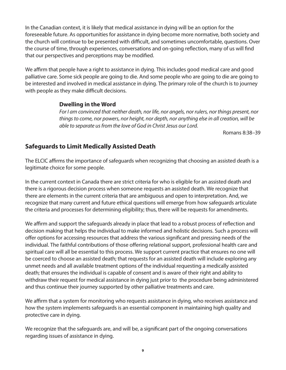In the Canadian context, it is likely that medical assistance in dying will be an option for the foreseeable future. As opportunities for assistance in dying become more normative, both society and the church will continue to be presented with difficult, and sometimes uncomfortable, questions. Over the course of time, through experiences, conversations and on-going reflection, many of us will find that our perspectives and perceptions may be modified.

We affirm that people have a right to assistance in dying. This includes good medical care and good palliative care. Some sick people are going to die. And some people who are going to die are going to be interested and involved in medical assistance in dying. The primary role of the church is to journey with people as they make difficult decisions.

#### **Dwelling in the Word**

*For I am convinced that neither death, nor life, nor angels, nor rulers, nor things present, nor things to come, nor powers, nor height, nor depth, nor anything else in all creation, will be able to separate us from the love of God in Christ Jesus our Lord.* 

Romans 8:38–39

# **Safeguards to Limit Medically Assisted Death**

The ELCIC affirms the importance of safeguards when recognizing that choosing an assisted death is a legitimate choice for some people.

In the current context in Canada there are strict criteria for who is eligible for an assisted death and there is a rigorous decision process when someone requests an assisted death. We recognize that there are elements in the current criteria that are ambiguous and open to interpretation. And, we recognize that many current and future ethical questions will emerge from how safeguards articulate the criteria and processes for determining eligibility; thus, there will be requests for amendments.

We affirm and support the safeguards already in place that lead to a robust process of reflection and decision making that helps the individual to make informed and holistic decisions. Such a process will offer options for accessing resources that address the various significant and pressing needs of the individual. The faithful contributions of those offering relational support, professional health care and spiritual care will all be essential to this process. We support current practice that ensures no one will be coerced to choose an assisted death; that requests for an assisted death will include exploring any unmet needs and all available treatment options of the individual requesting a medically assisted death; that ensures the individual is capable of consent and is aware of their right and ability to withdraw their request for medical assistance in dying just prior to the procedure being administered and thus continue their journey supported by other palliative treatments and care.

We affirm that a system for monitoring who requests assistance in dying, who receives assistance and how the system implements safeguards is an essential component in maintaining high quality and protective care in dying.

We recognize that the safeguards are, and will be, a significant part of the ongoing conversations regarding issues of assistance in dying.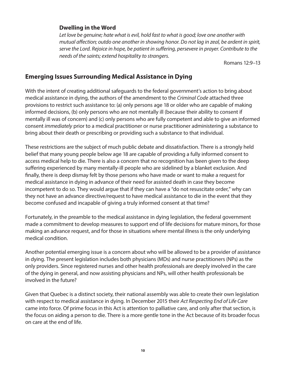#### **Dwelling in the Word**

*Let love be genuine; hate what is evil, hold fast to what is good; love one another with mutual affection; outdo one another in showing honor. Do not lag in zeal, be ardent in spirit, serve the Lord. Rejoice in hope, be patient in suffering, persevere in prayer. Contribute to the needs of the saints; extend hospitality to strangers.*

Romans 12:9–13

# **Emerging Issues Surrounding Medical Assistance in Dying**

With the intent of creating additional safeguards to the federal government's action to bring about medical assistance in dying, the authors of the amendment to the *Criminal Code* attached three provisions to restrict such assistance to: (a) only persons age 18 or older who are capable of making informed decisions, (b) only persons who are not mentally ill (because their ability to consent if mentally ill was of concern) and (c) only persons who are fully competent and able to give an informed consent *immediately* prior to a medical practitioner or nurse practitioner administering a substance to bring about their death or prescribing or providing such a substance to that individual.

These restrictions are the subject of much public debate and dissatisfaction. There is a strongly held belief that many young people below age 18 are capable of providing a fully informed consent to access medical help to die. There is also a concern that no recognition has been given to the deep suffering experienced by many mentally-ill people who are sidelined by a blanket exclusion. And finally, there is deep dismay felt by those persons who have made or want to make a request for medical assistance in dying in advance of their need for assisted death in case they become incompetent to do so. They would argue that if they can have a "do not resuscitate order," why can they not have an advance directive/request to have medical assistance to die in the event that they become confused and incapable of giving a truly informed consent at that time?

Fortunately, in the preamble to the medical assistance in dying legislation, the federal government made a commitment to develop measures to support end of life decisions for mature minors, for those making an advance request, and for those in situations where mental illness is the only underlying medical condition.

Another potential emerging issue is a concern about who will be allowed to be a provider of assistance in dying. The present legislation includes both physicians (MDs) and nurse practitioners (NPs) as the only providers. Since registered nurses and other health professionals are deeply involved in the care of the dying in general, and now assisting physicians and NPs, will other health professionals be involved in the future?

Given that Quebec is a distinct society, their national assembly was able to create their own legislation with respect to medical assistance in dying. In December 2015 their *Act Respecting End of Life Care* came into force. Of prime focus in this Act is attention to palliative care, and only after that section, is the focus on aiding a person to die. There is a more gentle tone in the Act because of its broader focus on care at the end of life.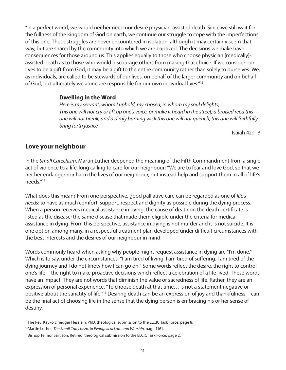"In a perfect world, we would neither need nor desire physician-assisted death. Since we still wait for the fullness of the kingdom of God on earth, we continue our struggle to cope with the imperfections of this one. These struggles are never encountered in isolation, although it may certainly seem that way, but are shared by the community into which we are baptized. The decisions we make have consequences for those around us. This applies equally to those who choose physician [medically] assisted death as to those who would discourage others from making that choice. If we consider our lives to be a gift from God, it may be a gift to the entire community rather than solely to ourselves. We, as individuals, are called to be stewards of our lives, on behalf of the larger community and on behalf of God, but ultimately we alone are responsible for our own individual lives."13

#### **Dwelling in the Word**

*Here is my servant, whom I uphold, my chosen, in whom my soul delights; … This one will not cry or lift up one's voice, or make it heard in the street; a bruised reed this one will not break, and a dimly burning wick this one will not quench; this one will faithfully bring forth justice.* 

Isaiah 42:1–3

#### **Love your neighbour**

In the *Small Catechism*, Martin Luther deepened the meaning of the Fifth Commandment from a single act of violence to a life-long calling to care for our neighbour: "We are to fear and love God, so that we neither endanger nor harm the lives of our neighbour, but instead help and support them in all of life's needs."14

What does this mean? From one perspective, good palliative care can be regarded as one of *life's needs*: to have as much comfort, support, respect and dignity as possible during the dying process. When a person receives medical assistance in dying, the cause of death on the death certificate is listed as the disease; the same disease that made them eligible under the criteria for medical assistance in dying. From this perspective, assistance in dying is not murder and it is not suicide. It is one option among many, in a respectful treatment plan developed under difficult circumstances with the best interests and the desires of our neighbour in mind.

Words commonly heard when asking why people might request assistance in dying are "I'm done." Which is to say, under the circumstances, "I am tired of living. I am tired of suffering. I am tired of the dying journey and I do not know how I can go on." Some words reflect the desire, the right to control one's life—the right to make proactive decisions which reflect a celebration of a life lived. These words have an impact. They are not words that diminish the value or sacredness of life. Rather, they are an expression of personal experience. "To choose death at that time… is not a statement negative or positive about the sanctity of life."15 Desiring death can be an expression of joy and thankfulness—can be the final act of choosing life in the sense that the dying person is embracing his or her sense of destiny.

<sup>&</sup>lt;sup>13</sup>The Rev. Kayko Driedger Hesslein, PhD, theological submission to the ELCIC Task Force, page 8.

<sup>14</sup>Martin Luther, *The Small Catechism,* in *Evangelical Lutheran Worship*, page 1161.

<sup>&</sup>lt;sup>15</sup>Bishop Telmor Sartison, Retired, theological submission to the ELCIC Task Force, page 2.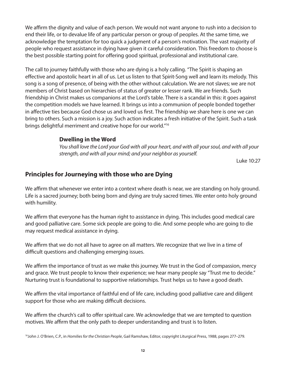We affirm the dignity and value of each person. We would not want anyone to rush into a decision to end their life, or to devalue life of any particular person or group of peoples. At the same time, we acknowledge the temptation for too quick a judgment of a person's motivation. The vast majority of people who request assistance in dying have given it careful consideration. This freedom to choose is the best possible starting point for offering good spiritual, professional and institutional care.

The call to journey faithfully with those who are dying is a holy calling. "The Spirit is shaping an effective and apostolic heart in all of us. Let us listen to that Spirit-Song well and learn its melody. This song is a song of presence, of being with the other without calculation. We are not slaves; we are not members of Christ based on hierarchies of status of greater or lesser rank. We are friends. Such friendship in Christ makes us companions at the Lord's table. There is a scandal in this: it goes against the competition models we have learned. It brings us into a communion of people bonded together in affective ties because God chose us and loved us first. The friendship we share here is one we can bring to others. Such a mission is a joy. Such action indicates a fresh initiative of the Spirit. Such a task brings delightful merriment and creative hope for our world."16

#### **Dwelling in the Word**

*You shall love the Lord your God with all your heart, and with all your soul, and with all your strength, and with all your mind; and your neighbor as yourself.*

Luke 10:27

# **Principles for Journeying with those who are Dying**

We affirm that whenever we enter into a context where death is near, we are standing on holy ground. Life is a sacred journey; both being born and dying are truly sacred times. We enter onto holy ground with humility.

We affirm that everyone has the human right to assistance in dying. This includes good medical care and good palliative care. Some sick people are going to die. And some people who are going to die may request medical assistance in dying.

We affirm that we do not all have to agree on all matters. We recognize that we live in a time of difficult questions and challenging emerging issues.

We affirm the importance of trust as we make this journey. We trust in the God of compassion, mercy and grace. We trust people to know their experience; we hear many people say "Trust me to decide." Nurturing trust is foundational to supportive relationships. Trust helps us to have a good death.

We affirm the vital importance of faithful end of life care, including good palliative care and diligent support for those who are making difficult decisions.

We affirm the church's call to offer spiritual care. We acknowledge that we are tempted to question motives. We affirm that the only path to deeper understanding and trust is to listen.

16John J. O'Brien, C.P., in *Homilies for the Christian People*, Gail Ramshaw, Editor, copyright Liturgical Press, 1988, pages 277–279.